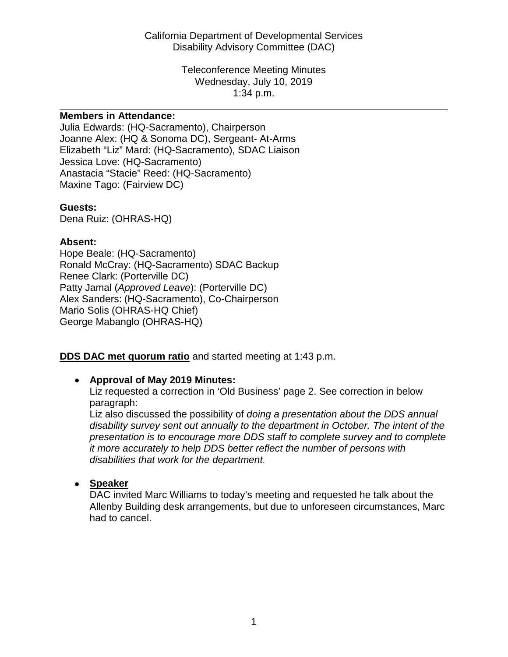Disability Advisory Committee (DAC) California Department of Developmental Services

> Wednesday, July 10, 2019 1:34 p.m.  $1:34$  p.m. Teleconference Meeting Minutes

#### **Members in Attendance:**

 Joanne Alex: (HQ & Sonoma DC), Sergeant- At-Arms Julia Edwards: (HQ-Sacramento), Chairperson Elizabeth "Liz" Mard: (HQ-Sacramento), SDAC Liaison Jessica Love: (HQ-Sacramento) Anastacia "Stacie" Reed: (HQ-Sacramento) Maxine Tago: (Fairview DC)

#### **Guests:**

Dena Ruiz: (OHRAS-HQ)

### **Absent:**

Hope Beale: (HQ-Sacramento) Ronald McCray: (HQ-Sacramento) SDAC Backup Renee Clark: (Porterville DC) Patty Jamal (*Approved Leave*): (Porterville DC) Alex Sanders: (HQ-Sacramento), Co-Chairperson Mario Solis (OHRAS-HQ Chief) George Mabanglo (OHRAS-HQ)

**DDS DAC met quorum ratio** and started meeting at 1:43 p.m.

#### • **Approval of May 2019 Minutes:**

Liz requested a correction in 'Old Business' page 2. See correction in below paragraph:

Liz also discussed the possibility of *doing a presentation about the DDS annual disability survey sent out annually to the department in October. The intent of the presentation is to encourage more DDS staff to complete survey and to complete it more accurately to help DDS better reflect the number of persons with disabilities that work for the department.* 

#### • **Speaker**

 DAC invited Marc Williams to today's meeting and requested he talk about the Allenby Building desk arrangements, but due to unforeseen circumstances, Marc had to cancel.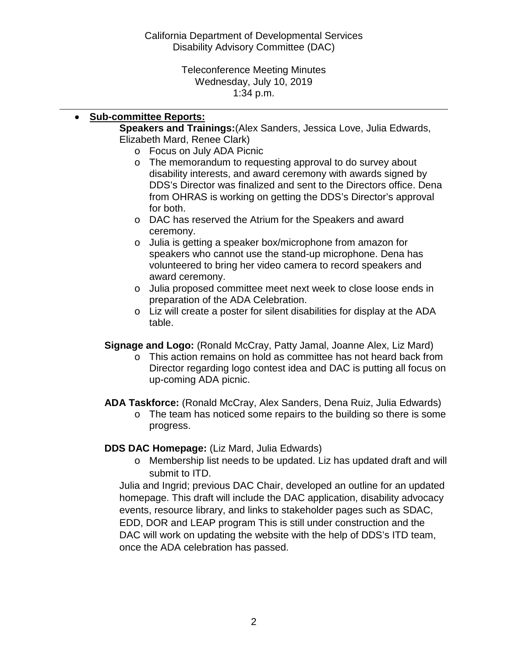Disability Advisory Committee (DAC) California Department of Developmental Services

> Wednesday, July 10, 2019 1:34 p.m.  $1:34$  p.m. Teleconference Meeting Minutes

## • **Sub-committee Reports:**

**Speakers and Trainings:**(Alex Sanders, Jessica Love, Julia Edwards, Elizabeth Mard, Renee Clark)

- o Focus on July ADA Picnic
- o The memorandum to requesting approval to do survey about disability interests, and award ceremony with awards signed by DDS's Director was finalized and sent to the Directors office. Dena from OHRAS is working on getting the DDS's Director's approval for both.

- o DAC has reserved the Atrium for the Speakers and award ceremony.
- speakers who cannot use the stand-up microphone. Dena has o Julia is getting a speaker box/microphone from amazon for volunteered to bring her video camera to record speakers and award ceremony.
- preparation of the ADA Celebration. o Julia proposed committee meet next week to close loose ends in
- o Liz will create a poster for silent disabilities for display at the ADA table.

**Signage and Logo:** (Ronald McCray, Patty Jamal, Joanne Alex, Liz Mard)

 o This action remains on hold as committee has not heard back from Director regarding logo contest idea and DAC is putting all focus on up-coming ADA picnic.

**ADA Taskforce:** (Ronald McCray, Alex Sanders, Dena Ruiz, Julia Edwards)

o The team has noticed some repairs to the building so there is some progress.

## **DDS DAC Homepage:** (Liz Mard, Julia Edwards)

o Membership list needs to be updated. Liz has updated draft and will submit to ITD.

Julia and Ingrid; previous DAC Chair, developed an outline for an updated homepage. This draft will include the DAC application, disability advocacy events, resource library, and links to stakeholder pages such as SDAC, EDD, DOR and LEAP program This is still under construction and the DAC will work on updating the website with the help of DDS's ITD team, once the ADA celebration has passed.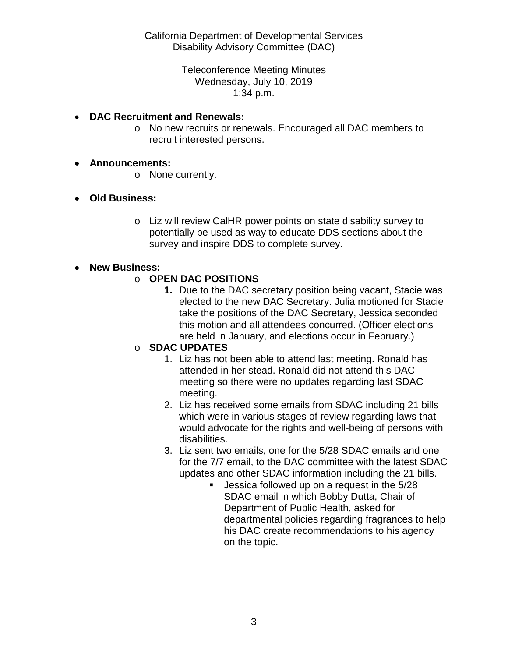Wednesday, July 10, 2019 1:34 p.m.  $1:34$  p.m. Teleconference Meeting Minutes

- **DAC Recruitment and Renewals:** 
	- o No new recruits or renewals. Encouraged all DAC members to recruit interested persons.

## • **Announcements:**

- o None currently.
- **Old Business:** 
	- potentially be used as way to educate DDS sections about the o Liz will review CalHR power points on state disability survey to survey and inspire DDS to complete survey.

# • **New Business:**

# o **OPEN DAC POSITIONS**

 elected to the new DAC Secretary. Julia motioned for Stacie **1.** Due to the DAC secretary position being vacant, Stacie was take the positions of the DAC Secretary, Jessica seconded this motion and all attendees concurred. (Officer elections are held in January, and elections occur in February.)

## o **SDAC UPDATES**

- 1. Liz has not been able to attend last meeting. Ronald has attended in her stead. Ronald did not attend this DAC meeting so there were no updates regarding last SDAC meeting.
- 2. Liz has received some emails from SDAC including 21 bills which were in various stages of review regarding laws that would advocate for the rights and well-being of persons with disabilities.
- 3. Liz sent two emails, one for the 5/28 SDAC emails and one for the 7/7 email, to the DAC committee with the latest SDAC updates and other SDAC information including the 21 bills.
	- Department of Public Health, asked for his DAC create recommendations to his agency Jessica followed up on a request in the 5/28 SDAC email in which Bobby Dutta, Chair of departmental policies regarding fragrances to help on the topic.